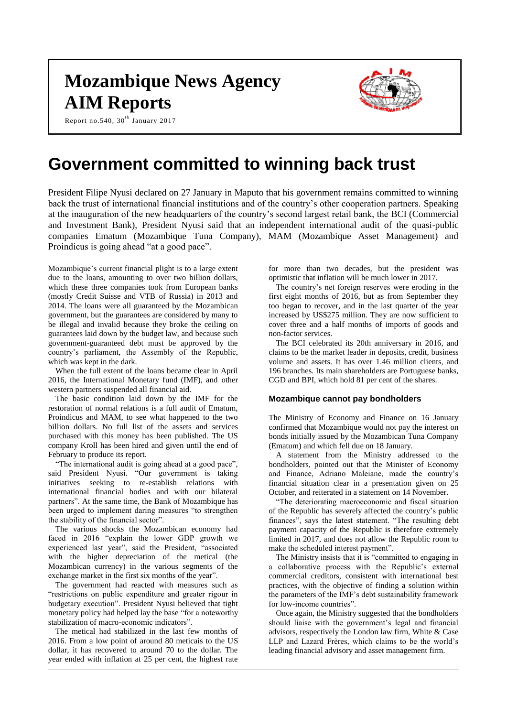# **Mozambique News Agency AIM Reports**



Report no.540, 30 $^{\rm th}$  January 2017

## **Government committed to winning back trust**

President Filipe Nyusi declared on 27 January in Maputo that his government remains committed to winning back the trust of international financial institutions and of the country's other cooperation partners. Speaking at the inauguration of the new headquarters of the country's second largest retail bank, the BCI (Commercial and Investment Bank), President Nyusi said that an independent international audit of the quasi-public companies Ematum (Mozambique Tuna Company), MAM (Mozambique Asset Management) and Proindicus is going ahead "at a good pace".

Mozambique's current financial plight is to a large extent due to the loans, amounting to over two billion dollars, which these three companies took from European banks (mostly Credit Suisse and VTB of Russia) in 2013 and 2014. The loans were all guaranteed by the Mozambican government, but the guarantees are considered by many to be illegal and invalid because they broke the ceiling on guarantees laid down by the budget law, and because such government-guaranteed debt must be approved by the country's parliament, the Assembly of the Republic, which was kept in the dark.

When the full extent of the loans became clear in April 2016, the International Monetary fund (IMF), and other western partners suspended all financial aid.

The basic condition laid down by the IMF for the restoration of normal relations is a full audit of Ematum, Proindicus and MAM, to see what happened to the two billion dollars. No full list of the assets and services purchased with this money has been published. The US company Kroll has been hired and given until the end of February to produce its report.

"The international audit is going ahead at a good pace", said President Nyusi. "Our government is taking initiatives seeking to re-establish relations with international financial bodies and with our bilateral partners". At the same time, the Bank of Mozambique has been urged to implement daring measures "to strengthen the stability of the financial sector".

The various shocks the Mozambican economy had faced in 2016 "explain the lower GDP growth we experienced last year", said the President, "associated with the higher depreciation of the metical (the Mozambican currency) in the various segments of the exchange market in the first six months of the year".

The government had reacted with measures such as "restrictions on public expenditure and greater rigour in budgetary execution". President Nyusi believed that tight monetary policy had helped lay the base "for a noteworthy stabilization of macro-economic indicators".

The metical had stabilized in the last few months of 2016. From a low point of around 80 meticais to the US dollar, it has recovered to around 70 to the dollar. The year ended with inflation at 25 per cent, the highest rate

for more than two decades, but the president was optimistic that inflation will be much lower in 2017.

The country's net foreign reserves were eroding in the first eight months of 2016, but as from September they too began to recover, and in the last quarter of the year increased by US\$275 million. They are now sufficient to cover three and a half months of imports of goods and non-factor services.

The BCI celebrated its 20th anniversary in 2016, and claims to be the market leader in deposits, credit, business volume and assets. It has over 1.46 million clients, and 196 branches. Its main shareholders are Portuguese banks, CGD and BPI, which hold 81 per cent of the shares.

#### **Mozambique cannot pay bondholders**

The Ministry of Economy and Finance on 16 January confirmed that Mozambique would not pay the interest on bonds initially issued by the Mozambican Tuna Company (Ematum) and which fell due on 18 January.

A statement from the Ministry addressed to the bondholders, pointed out that the Minister of Economy and Finance, Adriano Maleiane, made the country's financial situation clear in a presentation given on 25 October, and reiterated in a statement on 14 November.

"The deteriorating macroeconomic and fiscal situation of the Republic has severely affected the country's public finances", says the latest statement. "The resulting debt payment capacity of the Republic is therefore extremely limited in 2017, and does not allow the Republic room to make the scheduled interest payment".

The Ministry insists that it is "committed to engaging in a collaborative process with the Republic's external commercial creditors, consistent with international best practices, with the objective of finding a solution within the parameters of the IMF's debt sustainability framework for low-income countries".

Once again, the Ministry suggested that the bondholders should liaise with the government's legal and financial advisors, respectively the London law firm, White & Case LLP and Lazard Frères, which claims to be the world's leading financial advisory and asset management firm.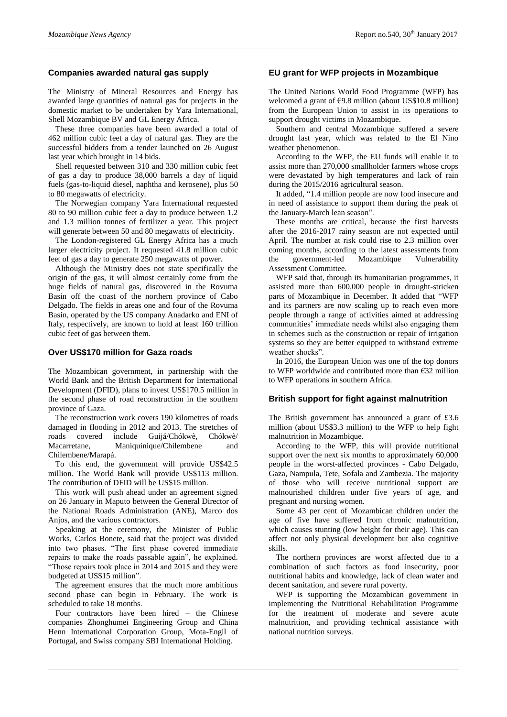## **Companies awarded natural gas supply**

The Ministry of Mineral Resources and Energy has awarded large quantities of natural gas for projects in the domestic market to be undertaken by Yara International, Shell Mozambique BV and GL Energy Africa.

These three companies have been awarded a total of 462 million cubic feet a day of natural gas. They are the successful bidders from a tender launched on 26 August last year which brought in 14 bids.

Shell requested between 310 and 330 million cubic feet of gas a day to produce 38,000 barrels a day of liquid fuels (gas-to-liquid diesel, naphtha and kerosene), plus 50 to 80 megawatts of electricity.

The Norwegian company Yara International requested 80 to 90 million cubic feet a day to produce between 1.2 and 1.3 million tonnes of fertilizer a year. This project will generate between 50 and 80 megawatts of electricity.

The London-registered GL Energy Africa has a much larger electricity project. It requested 41.8 million cubic feet of gas a day to generate 250 megawatts of power.

Although the Ministry does not state specifically the origin of the gas, it will almost certainly come from the huge fields of natural gas, discovered in the Rovuma Basin off the coast of the northern province of Cabo Delgado. The fields in areas one and four of the Rovuma Basin, operated by the US company Anadarko and ENI of Italy, respectively, are known to hold at least 160 trillion cubic feet of gas between them.

#### **Over US\$170 million for Gaza roads**

The Mozambican government, in partnership with the World Bank and the British Department for International Development (DFID), plans to invest US\$170.5 million in the second phase of road reconstruction in the southern province of Gaza.

The reconstruction work covers 190 kilometres of roads damaged in flooding in 2012 and 2013. The stretches of roads covered include Guijá/Chókwè, Chókwè/<br>Macarretane. Maniquinique/Chilembene and Maniquinique/Chilembene and Chilembene/Marapá.

To this end, the government will provide US\$42.5 million. The World Bank will provide US\$113 million. The contribution of DFID will be US\$15 million.

This work will push ahead under an agreement signed on 26 January in Maputo between the General Director of the National Roads Administration (ANE), Marco dos Anjos, and the various contractors.

Speaking at the ceremony, the Minister of Public Works, Carlos Bonete, said that the project was divided into two phases. "The first phase covered immediate repairs to make the roads passable again", he explained. "Those repairs took place in 2014 and 2015 and they were budgeted at US\$15 million".

The agreement ensures that the much more ambitious second phase can begin in February. The work is scheduled to take 18 months.

Four contractors have been hired – the Chinese companies Zhonghumei Engineering Group and China Henn International Corporation Group, Mota-Engil of Portugal, and Swiss company SBI International Holding.

## **EU grant for WFP projects in Mozambique**

The United Nations World Food Programme (WFP) has welcomed a grant of  $\epsilon$ 9.8 million (about US\$10.8 million) from the European Union to assist in its operations to support drought victims in Mozambique.

Southern and central Mozambique suffered a severe drought last year, which was related to the El Nino weather phenomenon.

According to the WFP, the EU funds will enable it to assist more than 270,000 smallholder farmers whose crops were devastated by high temperatures and lack of rain during the 2015/2016 agricultural season.

It added, "1.4 million people are now food insecure and in need of assistance to support them during the peak of the January-March lean season".

These months are critical, because the first harvests after the 2016-2017 rainy season are not expected until April. The number at risk could rise to 2.3 million over coming months, according to the latest assessments from the government-led Mozambique Vulnerability Assessment Committee.

WFP said that, through its humanitarian programmes, it assisted more than 600,000 people in drought-stricken parts of Mozambique in December. It added that "WFP and its partners are now scaling up to reach even more people through a range of activities aimed at addressing communities' immediate needs whilst also engaging them in schemes such as the construction or repair of irrigation systems so they are better equipped to withstand extreme weather shocks".

In 2016, the European Union was one of the top donors to WFP worldwide and contributed more than €32 million to WFP operations in southern Africa.

#### **British support for fight against malnutrition**

The British government has announced a grant of £3.6 million (about US\$3.3 million) to the WFP to help fight malnutrition in Mozambique.

According to the WFP, this will provide nutritional support over the next six months to approximately 60,000 people in the worst-affected provinces - Cabo Delgado, Gaza, Nampula, Tete, Sofala and Zambezia. The majority of those who will receive nutritional support are malnourished children under five years of age, and pregnant and nursing women.

Some 43 per cent of Mozambican children under the age of five have suffered from chronic malnutrition, which causes stunting (low height for their age). This can affect not only physical development but also cognitive skills.

The northern provinces are worst affected due to a combination of such factors as food insecurity, poor nutritional habits and knowledge, lack of clean water and decent sanitation, and severe rural poverty.

WFP is supporting the Mozambican government in implementing the Nutritional Rehabilitation Programme for the treatment of moderate and severe acute malnutrition, and providing technical assistance with national nutrition surveys.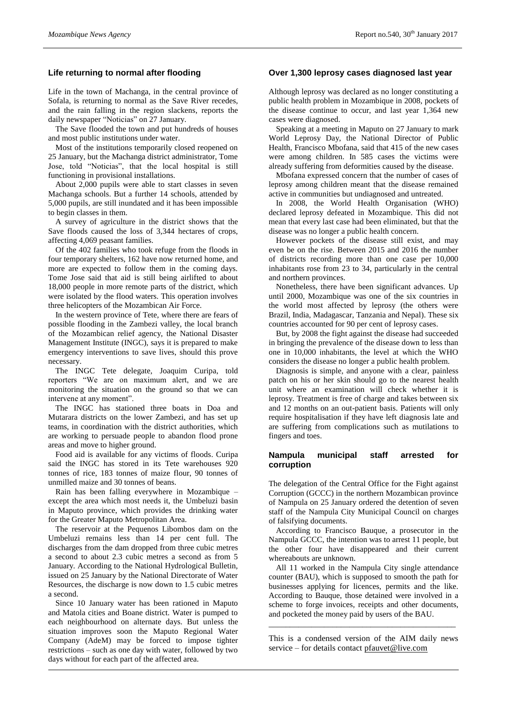## **Life returning to normal after flooding**

Life in the town of Machanga, in the central province of Sofala, is returning to normal as the Save River recedes, and the rain falling in the region slackens, reports the daily newspaper "Noticias" on 27 January.

The Save flooded the town and put hundreds of houses and most public institutions under water.

Most of the institutions temporarily closed reopened on 25 January, but the Machanga district administrator, Tome Jose, told "Noticias", that the local hospital is still functioning in provisional installations.

About 2,000 pupils were able to start classes in seven Machanga schools. But a further 14 schools, attended by 5,000 pupils, are still inundated and it has been impossible to begin classes in them.

A survey of agriculture in the district shows that the Save floods caused the loss of 3,344 hectares of crops, affecting 4,069 peasant families.

Of the 402 families who took refuge from the floods in four temporary shelters, 162 have now returned home, and more are expected to follow them in the coming days. Tome Jose said that aid is still being airlifted to about 18,000 people in more remote parts of the district, which were isolated by the flood waters. This operation involves three helicopters of the Mozambican Air Force.

In the western province of Tete, where there are fears of possible flooding in the Zambezi valley, the local branch of the Mozambican relief agency, the National Disaster Management Institute (INGC), says it is prepared to make emergency interventions to save lives, should this prove necessary.

The INGC Tete delegate, Joaquim Curipa, told reporters "We are on maximum alert, and we are monitoring the situation on the ground so that we can intervene at any moment".

The INGC has stationed three boats in Doa and Mutarara districts on the lower Zambezi, and has set up teams, in coordination with the district authorities, which are working to persuade people to abandon flood prone areas and move to higher ground.

Food aid is available for any victims of floods. Curipa said the INGC has stored in its Tete warehouses 920 tonnes of rice, 183 tonnes of maize flour, 90 tonnes of unmilled maize and 30 tonnes of beans.

Rain has been falling everywhere in Mozambique – except the area which most needs it, the Umbeluzi basin in Maputo province, which provides the drinking water for the Greater Maputo Metropolitan Area.

The reservoir at the Pequenos Libombos dam on the Umbeluzi remains less than 14 per cent full. The discharges from the dam dropped from three cubic metres a second to about 2.3 cubic metres a second as from 5 January. According to the National Hydrological Bulletin, issued on 25 January by the National Directorate of Water Resources, the discharge is now down to 1.5 cubic metres a second.

Since 10 January water has been rationed in Maputo and Matola cities and Boane district. Water is pumped to each neighbourhood on alternate days. But unless the situation improves soon the Maputo Regional Water Company (AdeM) may be forced to impose tighter restrictions – such as one day with water, followed by two days without for each part of the affected area.

## **Over 1,300 leprosy cases diagnosed last year**

Although leprosy was declared as no longer constituting a public health problem in Mozambique in 2008, pockets of the disease continue to occur, and last year 1,364 new cases were diagnosed.

Speaking at a meeting in Maputo on 27 January to mark World Leprosy Day, the National Director of Public Health, Francisco Mbofana, said that 415 of the new cases were among children. In 585 cases the victims were already suffering from deformities caused by the disease.

Mbofana expressed concern that the number of cases of leprosy among children meant that the disease remained active in communities but undiagnosed and untreated.

In 2008, the World Health Organisation (WHO) declared leprosy defeated in Mozambique. This did not mean that every last case had been eliminated, but that the disease was no longer a public health concern.

However pockets of the disease still exist, and may even be on the rise. Between 2015 and 2016 the number of districts recording more than one case per 10,000 inhabitants rose from 23 to 34, particularly in the central and northern provinces.

Nonetheless, there have been significant advances. Up until 2000, Mozambique was one of the six countries in the world most affected by leprosy (the others were Brazil, India, Madagascar, Tanzania and Nepal). These six countries accounted for 90 per cent of leprosy cases.

But, by 2008 the fight against the disease had succeeded in bringing the prevalence of the disease down to less than one in 10,000 inhabitants, the level at which the WHO considers the disease no longer a public health problem.

Diagnosis is simple, and anyone with a clear, painless patch on his or her skin should go to the nearest health unit where an examination will check whether it is leprosy. Treatment is free of charge and takes between six and 12 months on an out-patient basis. Patients will only require hospitalisation if they have left diagnosis late and are suffering from complications such as mutilations to fingers and toes.

#### **Nampula municipal staff arrested for corruption**

The delegation of the Central Office for the Fight against Corruption (GCCC) in the northern Mozambican province of Nampula on 25 January ordered the detention of seven staff of the Nampula City Municipal Council on charges of falsifying documents.

According to Francisco Bauque, a prosecutor in the Nampula GCCC, the intention was to arrest 11 people, but the other four have disappeared and their current whereabouts are unknown.

All 11 worked in the Nampula City single attendance counter (BAU), which is supposed to smooth the path for businesses applying for licences, permits and the like. According to Bauque, those detained were involved in a scheme to forge invoices, receipts and other documents, and pocketed the money paid by users of the BAU.

This is a condensed version of the AIM daily news service – for details contact [pfauvet@live.com](mailto:pfauvet@live.com)

\_\_\_\_\_\_\_\_\_\_\_\_\_\_\_\_\_\_\_\_\_\_\_\_\_\_\_\_\_\_\_\_\_\_\_\_\_\_\_\_\_\_\_\_